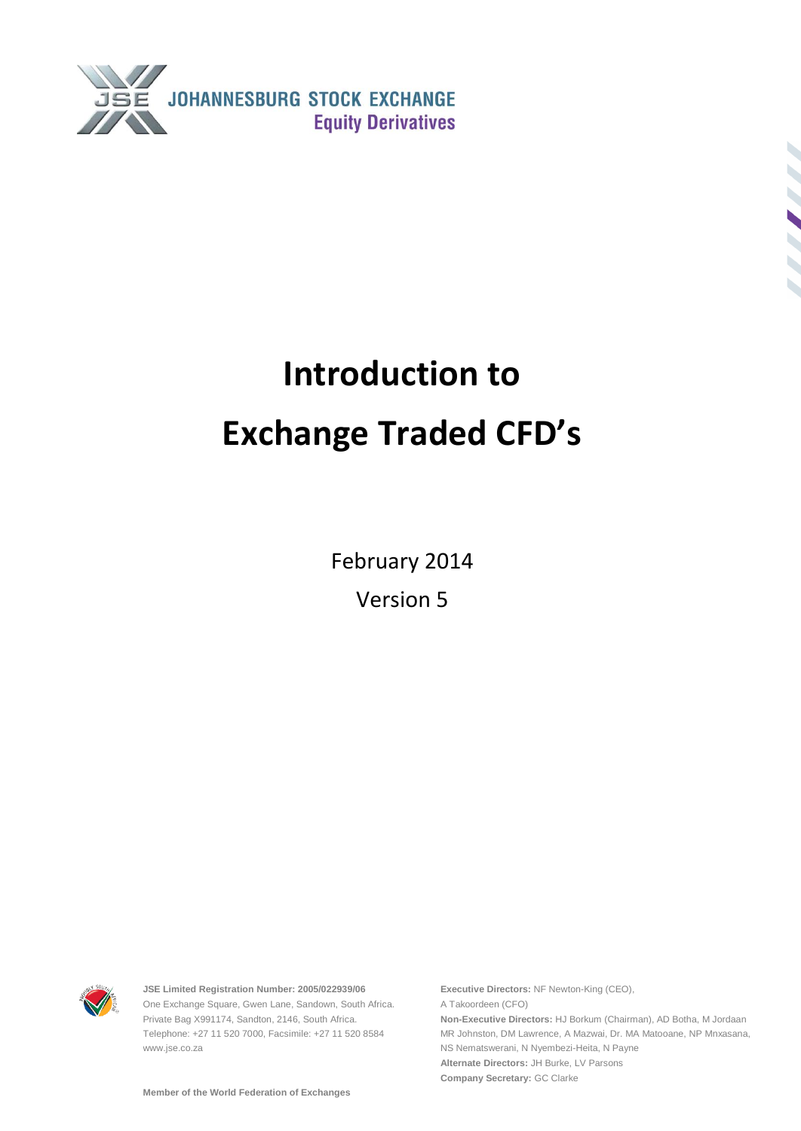



# **Introduction to Exchange Traded CFD's**

February 2014 Version 5



**JSE Limited Registration Number: 2005/022939/06** One Exchange Square, Gwen Lane, Sandown, South Africa. Private Bag X991174, Sandton, 2146, South Africa. Telephone: +27 11 520 7000, Facsimile: +27 11 520 8584 www.jse.co.za

**Executive Directors:** NF Newton-King (CEO), A Takoordeen (CFO) **Non-Executive Directors:** HJ Borkum (Chairman), AD Botha, M Jordaan MR Johnston, DM Lawrence, A Mazwai, Dr. MA Matooane, NP Mnxasana, NS Nematswerani, N Nyembezi-Heita, N Payne **Alternate Directors:** JH Burke, LV Parsons **Company Secretary:** GC Clarke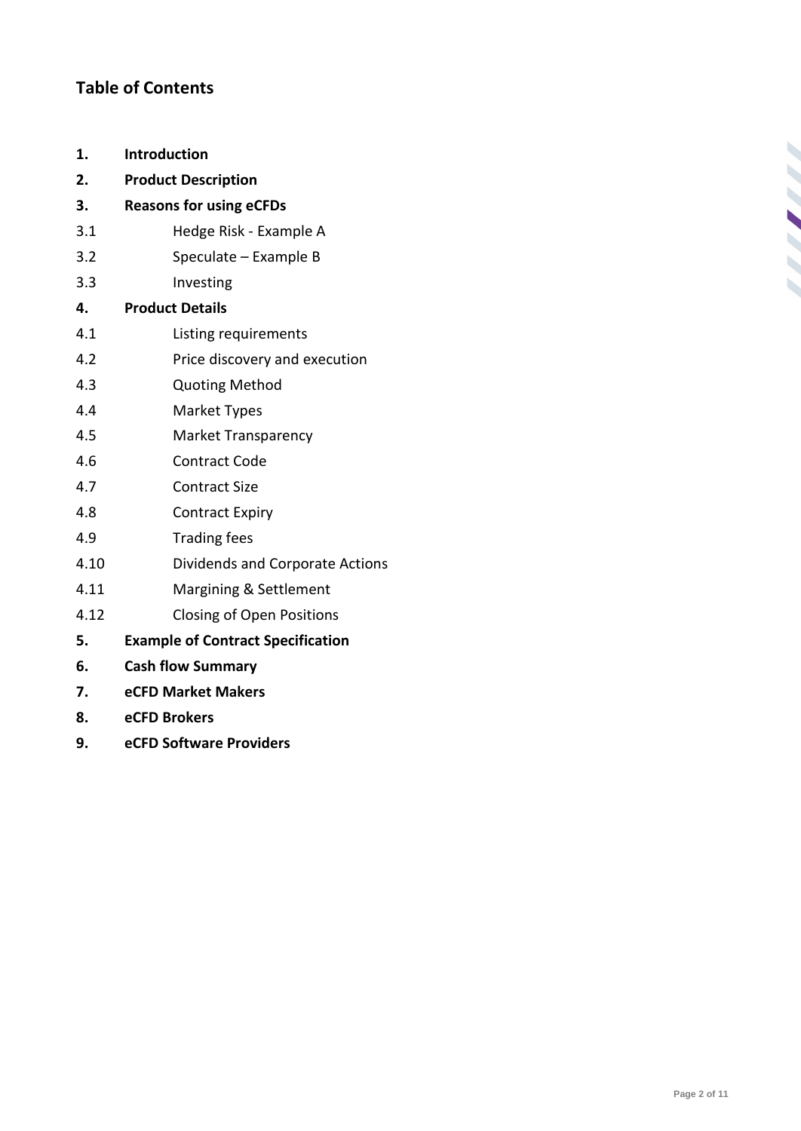## **Table of Contents**

- **1. Introduction**
- **2. Product Description**
- **3. Reasons for using eCFDs**
- 3.1 Hedge Risk Example A
- 3.2 Speculate Example B
- 3.3 Investing

**4. Product Details**

- 4.1 Listing requirements
- 4.2 Price discovery and execution
- 4.3 Quoting Method
- 4.4 Market Types
- 4.5 Market Transparency
- 4.6 Contract Code
- 4.7 Contract Size
- 4.8 Contract Expiry
- 4.9 Trading fees
- 4.10 Dividends and Corporate Actions
- 4.11 Margining & Settlement
- 4.12 Closing of Open Positions
- **5. Example of Contract Specification**
- **6. Cash flow Summary**
- **7. eCFD Market Makers**
- **8. eCFD Brokers**
- **9. eCFD Software Providers**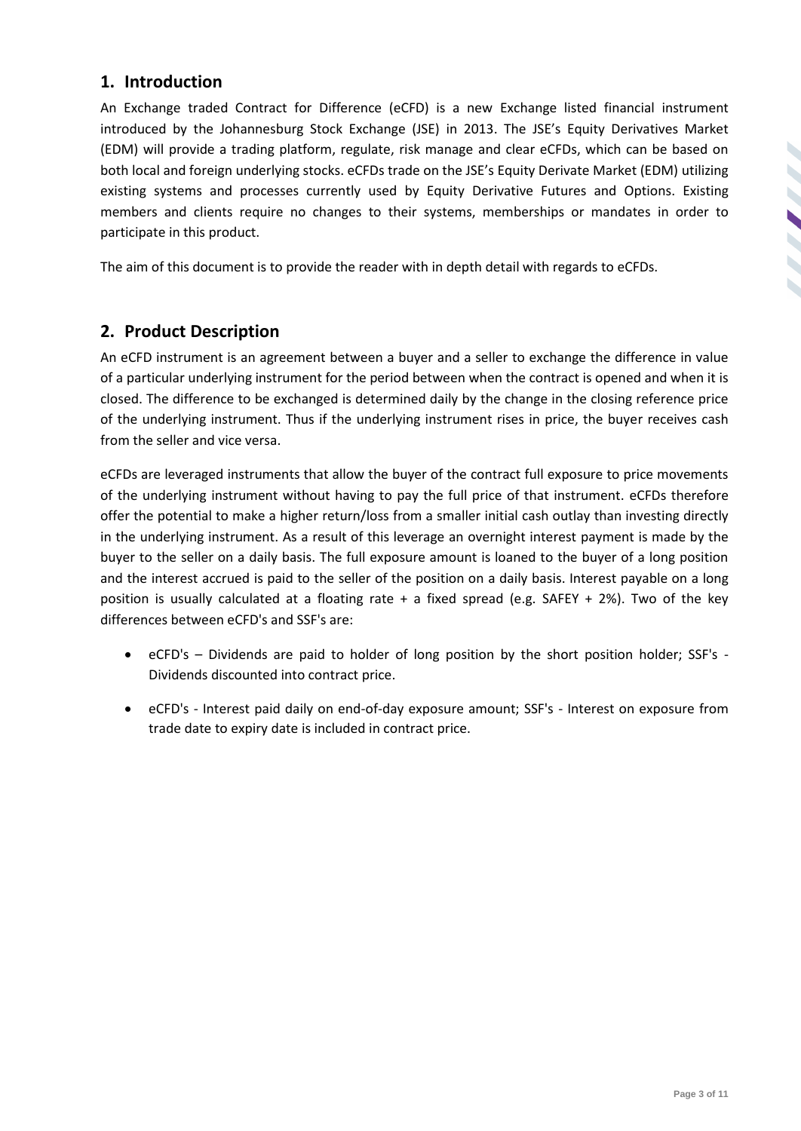## **1. Introduction**

An Exchange traded Contract for Difference (eCFD) is a new Exchange listed financial instrument introduced by the Johannesburg Stock Exchange (JSE) in 2013. The JSE's Equity Derivatives Market (EDM) will provide a trading platform, regulate, risk manage and clear eCFDs, which can be based on both local and foreign underlying stocks. eCFDs trade on the JSE's Equity Derivate Market (EDM) utilizing existing systems and processes currently used by Equity Derivative Futures and Options. Existing members and clients require no changes to their systems, memberships or mandates in order to participate in this product.

The aim of this document is to provide the reader with in depth detail with regards to eCFDs.

## **2. Product Description**

An eCFD instrument is an agreement between a buyer and a seller to exchange the difference in value of a particular underlying instrument for the period between when the contract is opened and when it is closed. The difference to be exchanged is determined daily by the change in the closing reference price of the underlying instrument. Thus if the underlying instrument rises in price, the buyer receives cash from the seller and vice versa.

eCFDs are leveraged instruments that allow the buyer of the contract full exposure to price movements of the underlying instrument without having to pay the full price of that instrument. eCFDs therefore offer the potential to make a higher return/loss from a smaller initial cash outlay than investing directly in the underlying instrument. As a result of this leverage an overnight interest payment is made by the buyer to the seller on a daily basis. The full exposure amount is loaned to the buyer of a long position and the interest accrued is paid to the seller of the position on a daily basis. Interest payable on a long position is usually calculated at a floating rate + a fixed spread (e.g. SAFEY + 2%). Two of the key differences between eCFD's and SSF's are:

- eCFD's Dividends are paid to holder of long position by the short position holder; SSF's Dividends discounted into contract price.
- eCFD's Interest paid daily on end-of-day exposure amount; SSF's Interest on exposure from trade date to expiry date is included in contract price.

S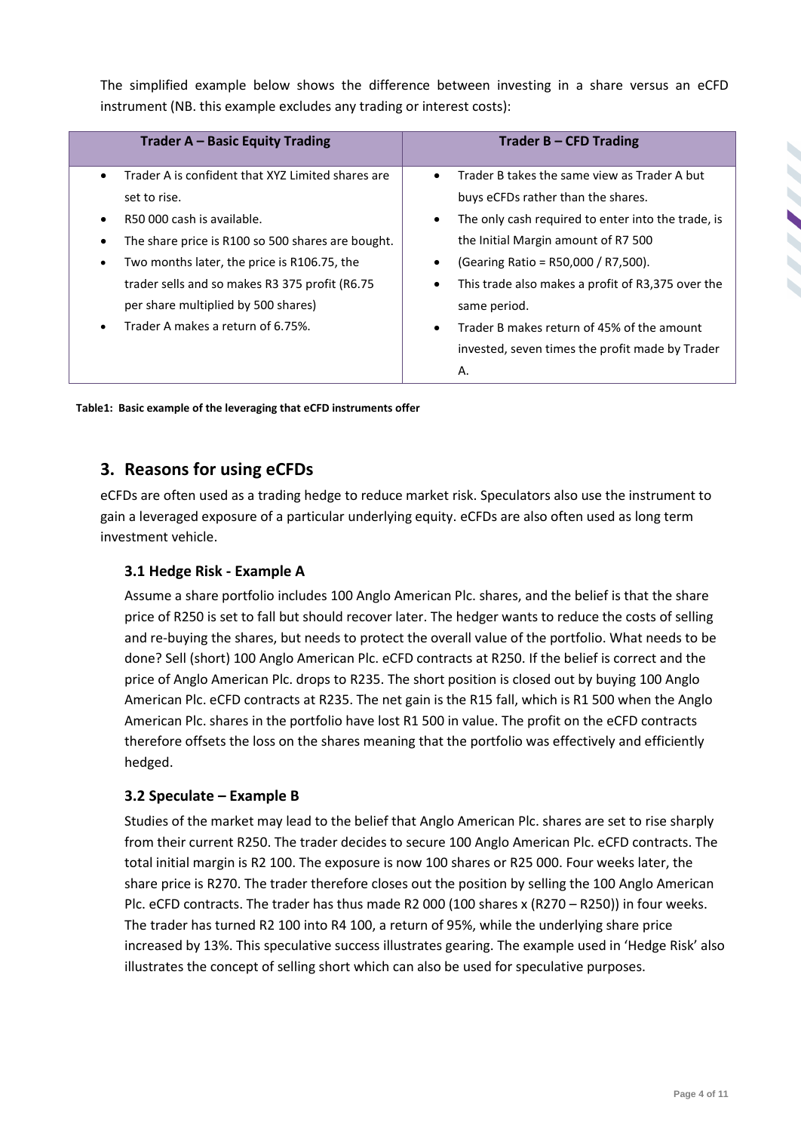The simplified example below shows the difference between investing in a share versus an eCFD instrument (NB. this example excludes any trading or interest costs):

| Trader A - Basic Equity Trading                                | <b>Trader B – CFD Trading</b>                      |
|----------------------------------------------------------------|----------------------------------------------------|
| Trader A is confident that XYZ Limited shares are<br>$\bullet$ | Trader B takes the same view as Trader A but       |
| set to rise.                                                   | buys eCFDs rather than the shares.                 |
| R50 000 cash is available.<br>$\bullet$                        | The only cash required to enter into the trade, is |
| The share price is R100 so 500 shares are bought.<br>٠         | the Initial Margin amount of R7 500                |
| Two months later, the price is R106.75, the<br>$\bullet$       | (Gearing Ratio = R50,000 / R7,500).                |
| trader sells and so makes R3 375 profit (R6.75)                | This trade also makes a profit of R3,375 over the  |
| per share multiplied by 500 shares)                            | same period.                                       |
| Trader A makes a return of 6.75%.<br>$\bullet$                 | Trader B makes return of 45% of the amount         |
|                                                                | invested, seven times the profit made by Trader    |
|                                                                | А.                                                 |

**Table1: Basic example of the leveraging that eCFD instruments offer**

## **3. Reasons for using eCFDs**

eCFDs are often used as a trading hedge to reduce market risk. Speculators also use the instrument to gain a leveraged exposure of a particular underlying equity. eCFDs are also often used as long term investment vehicle.

#### **3.1 Hedge Risk - Example A**

Assume a share portfolio includes 100 Anglo American Plc. shares, and the belief is that the share price of R250 is set to fall but should recover later. The hedger wants to reduce the costs of selling and re-buying the shares, but needs to protect the overall value of the portfolio. What needs to be done? Sell (short) 100 Anglo American Plc. eCFD contracts at R250. If the belief is correct and the price of Anglo American Plc. drops to R235. The short position is closed out by buying 100 Anglo American Plc. eCFD contracts at R235. The net gain is the R15 fall, which is R1 500 when the Anglo American Plc. shares in the portfolio have lost R1 500 in value. The profit on the eCFD contracts therefore offsets the loss on the shares meaning that the portfolio was effectively and efficiently hedged.

#### **3.2 Speculate – Example B**

Studies of the market may lead to the belief that Anglo American Plc. shares are set to rise sharply from their current R250. The trader decides to secure 100 Anglo American Plc. eCFD contracts. The total initial margin is R2 100. The exposure is now 100 shares or R25 000. Four weeks later, the share price is R270. The trader therefore closes out the position by selling the 100 Anglo American Plc. eCFD contracts. The trader has thus made R2 000 (100 shares x (R270 – R250)) in four weeks. The trader has turned R2 100 into R4 100, a return of 95%, while the underlying share price increased by 13%. This speculative success illustrates gearing. The example used in 'Hedge Risk' also illustrates the concept of selling short which can also be used for speculative purposes.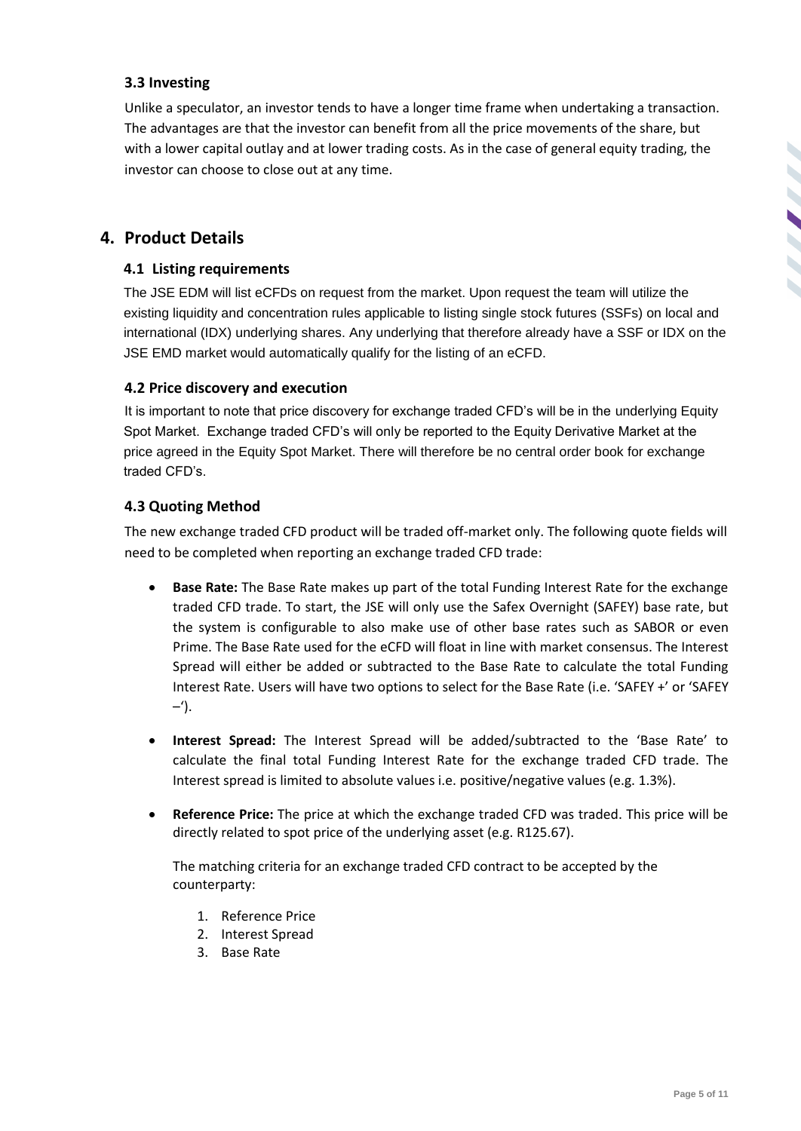#### **3.3 Investing**

Unlike a speculator, an investor tends to have a longer time frame when undertaking a transaction. The advantages are that the investor can benefit from all the price movements of the share, but with a lower capital outlay and at lower trading costs. As in the case of general equity trading, the investor can choose to close out at any time.

### **4. Product Details**

#### **4.1 Listing requirements**

The JSE EDM will list eCFDs on request from the market. Upon request the team will utilize the existing liquidity and concentration rules applicable to listing single stock futures (SSFs) on local and international (IDX) underlying shares. Any underlying that therefore already have a SSF or IDX on the JSE EMD market would automatically qualify for the listing of an eCFD.

#### **4.2 Price discovery and execution**

It is important to note that price discovery for exchange traded CFD's will be in the underlying Equity Spot Market. Exchange traded CFD's will only be reported to the Equity Derivative Market at the price agreed in the Equity Spot Market. There will therefore be no central order book for exchange traded CFD's.

#### **4.3 Quoting Method**

The new exchange traded CFD product will be traded off-market only. The following quote fields will need to be completed when reporting an exchange traded CFD trade:

- **Base Rate:** The Base Rate makes up part of the total Funding Interest Rate for the exchange traded CFD trade. To start, the JSE will only use the Safex Overnight (SAFEY) base rate, but the system is configurable to also make use of other base rates such as SABOR or even Prime. The Base Rate used for the eCFD will float in line with market consensus. The Interest Spread will either be added or subtracted to the Base Rate to calculate the total Funding Interest Rate. Users will have two options to select for the Base Rate (i.e. 'SAFEY +' or 'SAFEY –').
- **Interest Spread:** The Interest Spread will be added/subtracted to the 'Base Rate' to calculate the final total Funding Interest Rate for the exchange traded CFD trade. The Interest spread is limited to absolute values i.e. positive/negative values (e.g. 1.3%).
- **Reference Price:** The price at which the exchange traded CFD was traded. This price will be directly related to spot price of the underlying asset (e.g. R125.67).

The matching criteria for an exchange traded CFD contract to be accepted by the counterparty:

- 1. Reference Price
- 2. Interest Spread
- 3. Base Rate

S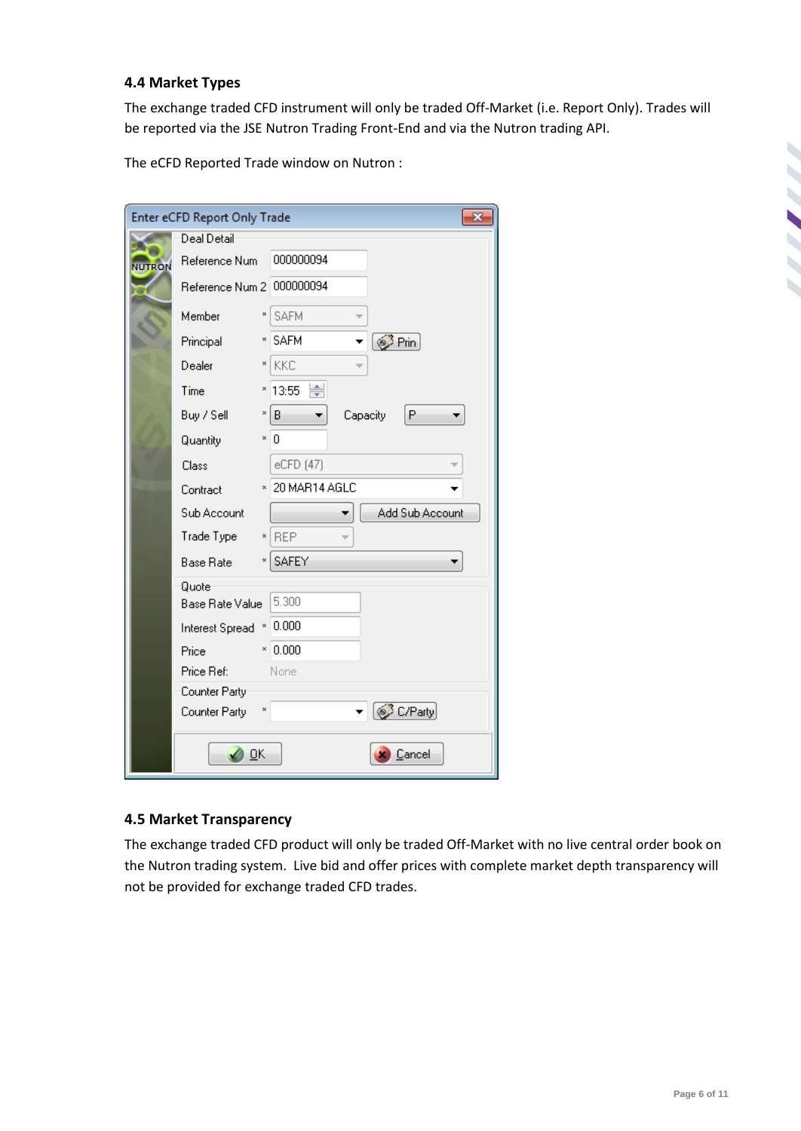#### **4.4 Market Types**

The exchange traded CFD instrument will only be traded Off-Market (i.e. Report Only). Trades will be reported via the JSE Nutron Trading Front-End and via the Nutron trading API.

The eCFD Reported Trade window on Nutron :

| $\overline{\mathbf{x}}$<br>Enter eCFD Report Only Trade |                           |                        |  |
|---------------------------------------------------------|---------------------------|------------------------|--|
|                                                         | Deal Detail               |                        |  |
| <b>NUTRON</b>                                           | Reference Num             | 000000094              |  |
| 9.                                                      | Reference Num 2 000000094 |                        |  |
|                                                         | Member<br>×               | <b>SAFM</b>            |  |
|                                                         | Principal                 | * SAFM<br>$\circ$ Prin |  |
|                                                         | Dealer<br>×               | KKC                    |  |
|                                                         | Time<br>×                 | ÷<br>13:55             |  |
|                                                         | Buy / Sell<br>×           | l Bi<br>P<br>Capacity  |  |
|                                                         | Quantity                  | × I O                  |  |
|                                                         | Class                     | eCFD (47)              |  |
|                                                         | ×<br>Contract             | 20 MAR14 AGLC          |  |
|                                                         | Sub Account               | Add Sub Account        |  |
|                                                         | Trade Type<br>×           | REP                    |  |
|                                                         | ×<br><b>Base Rate</b>     | SAFEY                  |  |
|                                                         | Quote                     |                        |  |
|                                                         | <b>Base Rate Value</b>    | 5.300                  |  |
|                                                         | ×<br>Interest Spread      | 0.000                  |  |
|                                                         | ×<br>Price                | 0.000                  |  |
|                                                         | Price Ref:                | None                   |  |
|                                                         | Counter Party             |                        |  |
|                                                         | ×<br>Counter Party        | C/Party                |  |
|                                                         | <u>O</u> Κ                | Cancel                 |  |

#### **4.5 Market Transparency**

The exchange traded CFD product will only be traded Off-Market with no live central order book on the Nutron trading system. Live bid and offer prices with complete market depth transparency will not be provided for exchange traded CFD trades.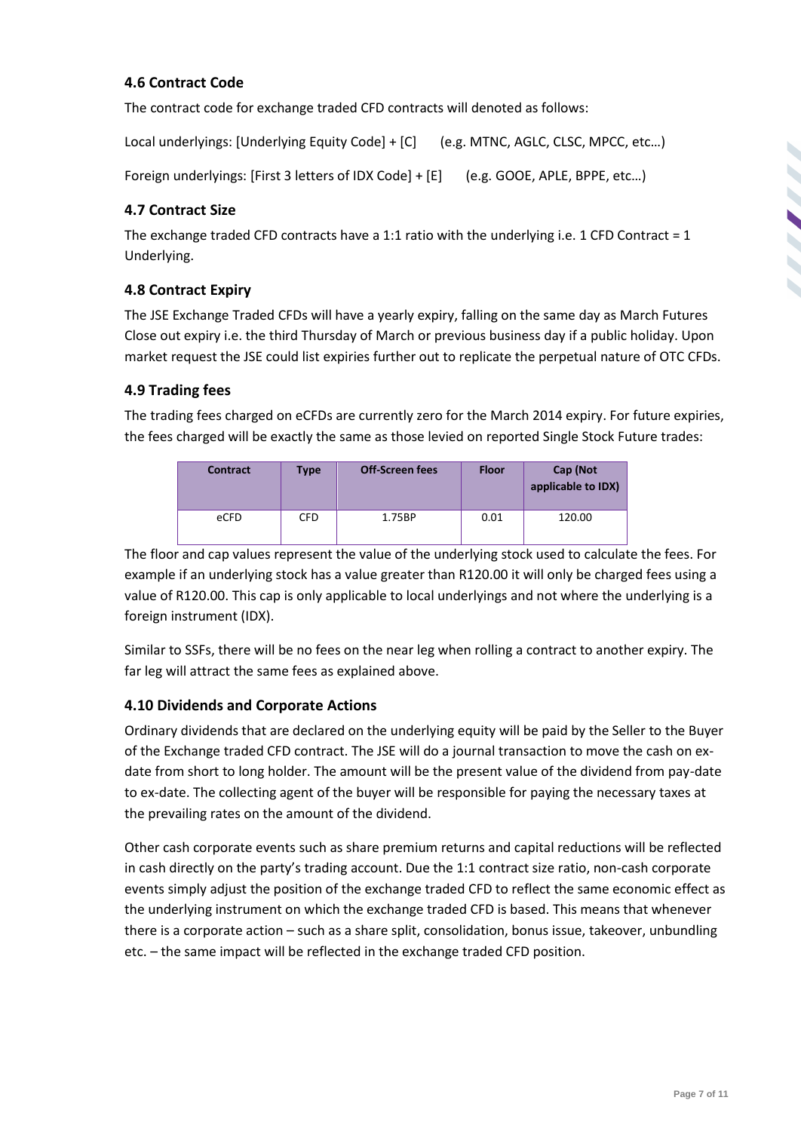#### **4.6 Contract Code**

The contract code for exchange traded CFD contracts will denoted as follows:

Local underlyings: [Underlying Equity Code] + [C] (e.g. MTNC, AGLC, CLSC, MPCC, etc…)

Foreign underlyings: [First 3 letters of IDX Code] + [E] (e.g. GOOE, APLE, BPPE, etc…)

#### **4.7 Contract Size**

The exchange traded CFD contracts have a 1:1 ratio with the underlying i.e. 1 CFD Contract = 1 Underlying.

#### **4.8 Contract Expiry**

The JSE Exchange Traded CFDs will have a yearly expiry, falling on the same day as March Futures Close out expiry i.e. the third Thursday of March or previous business day if a public holiday. Upon market request the JSE could list expiries further out to replicate the perpetual nature of OTC CFDs.

#### **4.9 Trading fees**

The trading fees charged on eCFDs are currently zero for the March 2014 expiry. For future expiries, the fees charged will be exactly the same as those levied on reported Single Stock Future trades:

| <b>Contract</b> | Type       | <b>Off-Screen fees</b> | <b>Floor</b> | Cap (Not<br>applicable to IDX) |
|-----------------|------------|------------------------|--------------|--------------------------------|
| eCFD            | <b>CFD</b> | 1.75BP                 | 0.01         | 120.00                         |

The floor and cap values represent the value of the underlying stock used to calculate the fees. For example if an underlying stock has a value greater than R120.00 it will only be charged fees using a value of R120.00. This cap is only applicable to local underlyings and not where the underlying is a foreign instrument (IDX).

Similar to SSFs, there will be no fees on the near leg when rolling a contract to another expiry. The far leg will attract the same fees as explained above.

#### **4.10 Dividends and Corporate Actions**

Ordinary dividends that are declared on the underlying equity will be paid by the Seller to the Buyer of the Exchange traded CFD contract. The JSE will do a journal transaction to move the cash on exdate from short to long holder. The amount will be the present value of the dividend from pay-date to ex-date. The collecting agent of the buyer will be responsible for paying the necessary taxes at the prevailing rates on the amount of the dividend.

Other cash corporate events such as share premium returns and capital reductions will be reflected in cash directly on the party's trading account. Due the 1:1 contract size ratio, non-cash corporate events simply adjust the position of the exchange traded CFD to reflect the same economic effect as the underlying instrument on which the exchange traded CFD is based. This means that whenever there is a corporate action – such as a share split, consolidation, bonus issue, takeover, unbundling etc. – the same impact will be reflected in the exchange traded CFD position.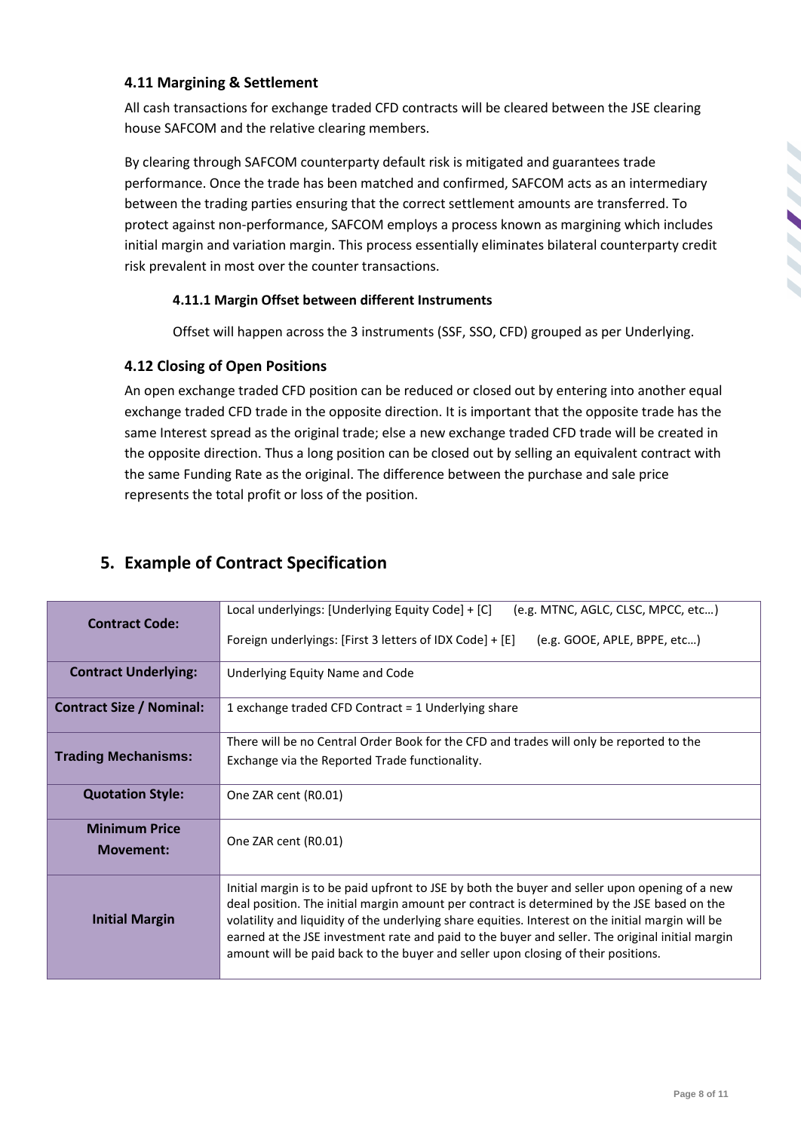#### **4.11 Margining & Settlement**

All cash transactions for exchange traded CFD contracts will be cleared between the JSE clearing house SAFCOM and the relative clearing members.

By clearing through SAFCOM counterparty default risk is mitigated and guarantees trade performance. Once the trade has been matched and confirmed, SAFCOM acts as an intermediary between the trading parties ensuring that the correct settlement amounts are transferred. To protect against non-performance, SAFCOM employs a process known as margining which includes initial margin and variation margin. This process essentially eliminates bilateral counterparty credit risk prevalent in most over the counter transactions.

#### **4.11.1 Margin Offset between different Instruments**

Offset will happen across the 3 instruments (SSF, SSO, CFD) grouped as per Underlying.

#### **4.12 Closing of Open Positions**

An open exchange traded CFD position can be reduced or closed out by entering into another equal exchange traded CFD trade in the opposite direction. It is important that the opposite trade has the same Interest spread as the original trade; else a new exchange traded CFD trade will be created in the opposite direction. Thus a long position can be closed out by selling an equivalent contract with the same Funding Rate as the original. The difference between the purchase and sale price represents the total profit or loss of the position.

## **5. Example of Contract Specification**

| <b>Contract Code:</b>           | Local underlyings: [Underlying Equity Code] + [C]<br>(e.g. MTNC, AGLC, CLSC, MPCC, etc)                                                                                                                                                                                                                                                                                                                                                                                                    |  |  |
|---------------------------------|--------------------------------------------------------------------------------------------------------------------------------------------------------------------------------------------------------------------------------------------------------------------------------------------------------------------------------------------------------------------------------------------------------------------------------------------------------------------------------------------|--|--|
|                                 | Foreign underlyings: [First 3 letters of IDX Code] + [E]<br>(e.g. GOOE, APLE, BPPE, etc)                                                                                                                                                                                                                                                                                                                                                                                                   |  |  |
| <b>Contract Underlying:</b>     | Underlying Equity Name and Code                                                                                                                                                                                                                                                                                                                                                                                                                                                            |  |  |
| <b>Contract Size / Nominal:</b> | 1 exchange traded CFD Contract = 1 Underlying share                                                                                                                                                                                                                                                                                                                                                                                                                                        |  |  |
|                                 | There will be no Central Order Book for the CFD and trades will only be reported to the                                                                                                                                                                                                                                                                                                                                                                                                    |  |  |
| <b>Trading Mechanisms:</b>      | Exchange via the Reported Trade functionality.                                                                                                                                                                                                                                                                                                                                                                                                                                             |  |  |
| <b>Quotation Style:</b>         | One ZAR cent (R0.01)                                                                                                                                                                                                                                                                                                                                                                                                                                                                       |  |  |
| <b>Minimum Price</b>            | One ZAR cent (R0.01)                                                                                                                                                                                                                                                                                                                                                                                                                                                                       |  |  |
| <b>Movement:</b>                |                                                                                                                                                                                                                                                                                                                                                                                                                                                                                            |  |  |
| <b>Initial Margin</b>           | Initial margin is to be paid upfront to JSE by both the buyer and seller upon opening of a new<br>deal position. The initial margin amount per contract is determined by the JSE based on the<br>volatility and liquidity of the underlying share equities. Interest on the initial margin will be<br>earned at the JSE investment rate and paid to the buyer and seller. The original initial margin<br>amount will be paid back to the buyer and seller upon closing of their positions. |  |  |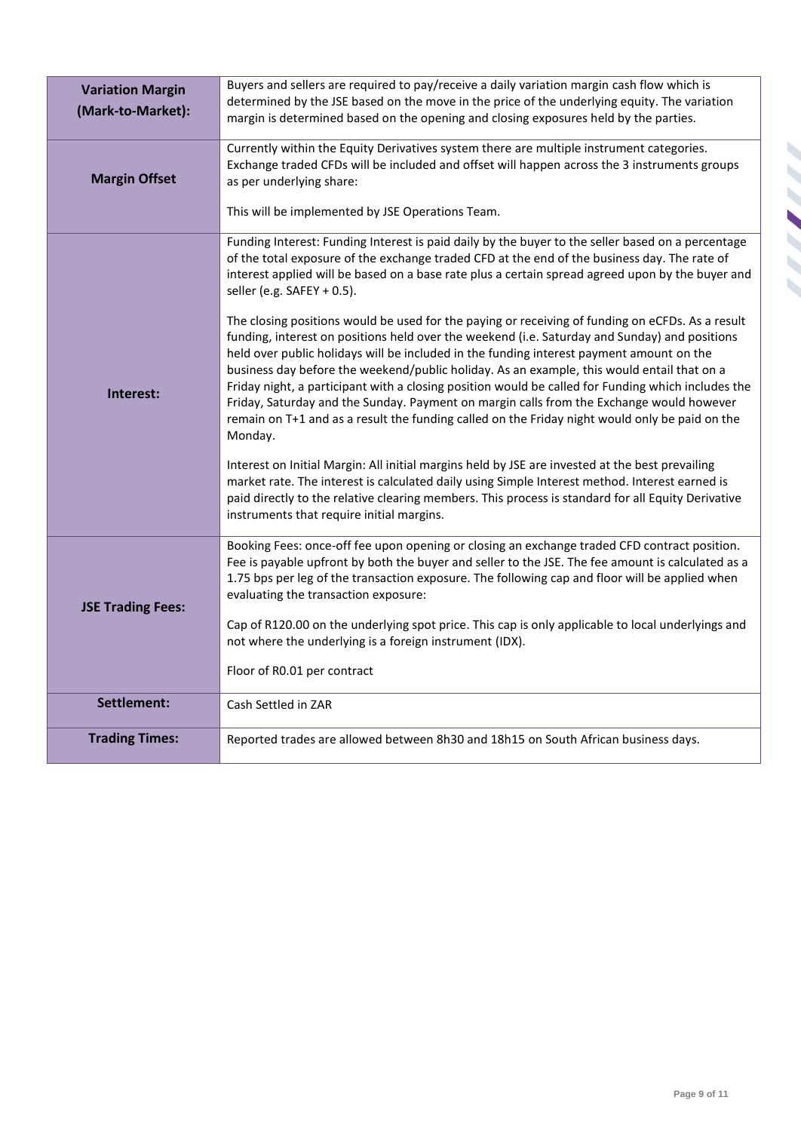| <b>Variation Margin</b><br>(Mark-to-Market): | Buyers and sellers are required to pay/receive a daily variation margin cash flow which is<br>determined by the JSE based on the move in the price of the underlying equity. The variation<br>margin is determined based on the opening and closing exposures held by the parties.                                                                                                                                                                                                                                                                                                                                                                                                                                                                                                                                                                                                                                                                                                                                                                                                                                                                                                                                                                       |  |  |
|----------------------------------------------|----------------------------------------------------------------------------------------------------------------------------------------------------------------------------------------------------------------------------------------------------------------------------------------------------------------------------------------------------------------------------------------------------------------------------------------------------------------------------------------------------------------------------------------------------------------------------------------------------------------------------------------------------------------------------------------------------------------------------------------------------------------------------------------------------------------------------------------------------------------------------------------------------------------------------------------------------------------------------------------------------------------------------------------------------------------------------------------------------------------------------------------------------------------------------------------------------------------------------------------------------------|--|--|
| <b>Margin Offset</b>                         | Currently within the Equity Derivatives system there are multiple instrument categories.<br>Exchange traded CFDs will be included and offset will happen across the 3 instruments groups<br>as per underlying share:                                                                                                                                                                                                                                                                                                                                                                                                                                                                                                                                                                                                                                                                                                                                                                                                                                                                                                                                                                                                                                     |  |  |
|                                              | This will be implemented by JSE Operations Team.                                                                                                                                                                                                                                                                                                                                                                                                                                                                                                                                                                                                                                                                                                                                                                                                                                                                                                                                                                                                                                                                                                                                                                                                         |  |  |
| Interest:                                    | Funding Interest: Funding Interest is paid daily by the buyer to the seller based on a percentage<br>of the total exposure of the exchange traded CFD at the end of the business day. The rate of<br>interest applied will be based on a base rate plus a certain spread agreed upon by the buyer and<br>seller (e.g. SAFEY $+$ 0.5).<br>The closing positions would be used for the paying or receiving of funding on eCFDs. As a result<br>funding, interest on positions held over the weekend (i.e. Saturday and Sunday) and positions<br>held over public holidays will be included in the funding interest payment amount on the<br>business day before the weekend/public holiday. As an example, this would entail that on a<br>Friday night, a participant with a closing position would be called for Funding which includes the<br>Friday, Saturday and the Sunday. Payment on margin calls from the Exchange would however<br>remain on T+1 and as a result the funding called on the Friday night would only be paid on the<br>Monday.<br>Interest on Initial Margin: All initial margins held by JSE are invested at the best prevailing<br>market rate. The interest is calculated daily using Simple Interest method. Interest earned is |  |  |
|                                              | paid directly to the relative clearing members. This process is standard for all Equity Derivative<br>instruments that require initial margins.                                                                                                                                                                                                                                                                                                                                                                                                                                                                                                                                                                                                                                                                                                                                                                                                                                                                                                                                                                                                                                                                                                          |  |  |
| <b>JSE Trading Fees:</b>                     | Booking Fees: once-off fee upon opening or closing an exchange traded CFD contract position.<br>Fee is payable upfront by both the buyer and seller to the JSE. The fee amount is calculated as a<br>1.75 bps per leg of the transaction exposure. The following cap and floor will be applied when<br>evaluating the transaction exposure:                                                                                                                                                                                                                                                                                                                                                                                                                                                                                                                                                                                                                                                                                                                                                                                                                                                                                                              |  |  |
|                                              | Cap of R120.00 on the underlying spot price. This cap is only applicable to local underlyings and<br>not where the underlying is a foreign instrument (IDX).                                                                                                                                                                                                                                                                                                                                                                                                                                                                                                                                                                                                                                                                                                                                                                                                                                                                                                                                                                                                                                                                                             |  |  |
|                                              | Floor of R0.01 per contract                                                                                                                                                                                                                                                                                                                                                                                                                                                                                                                                                                                                                                                                                                                                                                                                                                                                                                                                                                                                                                                                                                                                                                                                                              |  |  |
| Settlement:                                  | Cash Settled in ZAR                                                                                                                                                                                                                                                                                                                                                                                                                                                                                                                                                                                                                                                                                                                                                                                                                                                                                                                                                                                                                                                                                                                                                                                                                                      |  |  |
| <b>Trading Times:</b>                        | Reported trades are allowed between 8h30 and 18h15 on South African business days.                                                                                                                                                                                                                                                                                                                                                                                                                                                                                                                                                                                                                                                                                                                                                                                                                                                                                                                                                                                                                                                                                                                                                                       |  |  |

Ń

**ANNA** 

S S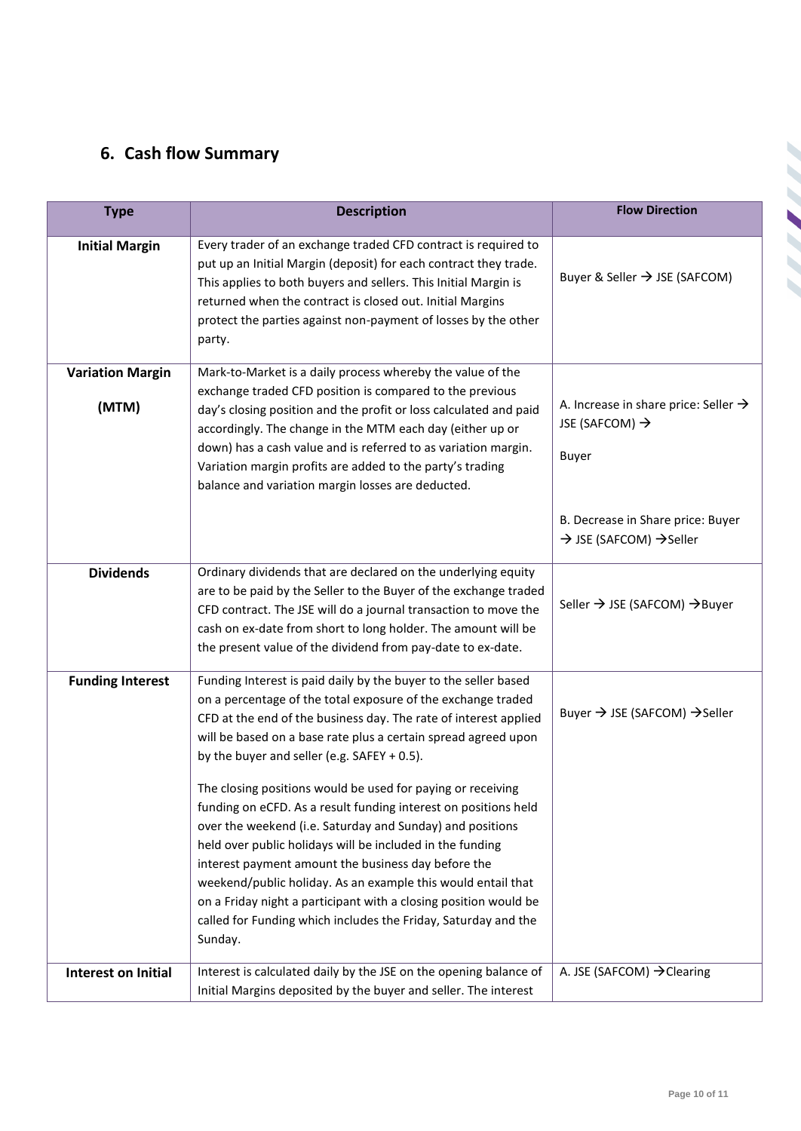# **6. Cash flow Summary**

| <b>Type</b>                      | <b>Description</b>                                                                                                                                                                                                                                                                                                                                                                                                                                                                                                               | <b>Flow Direction</b>                                                                   |
|----------------------------------|----------------------------------------------------------------------------------------------------------------------------------------------------------------------------------------------------------------------------------------------------------------------------------------------------------------------------------------------------------------------------------------------------------------------------------------------------------------------------------------------------------------------------------|-----------------------------------------------------------------------------------------|
| <b>Initial Margin</b>            | Every trader of an exchange traded CFD contract is required to<br>put up an Initial Margin (deposit) for each contract they trade.<br>This applies to both buyers and sellers. This Initial Margin is<br>returned when the contract is closed out. Initial Margins<br>protect the parties against non-payment of losses by the other<br>party.                                                                                                                                                                                   | Buyer & Seller → JSE (SAFCOM)                                                           |
| <b>Variation Margin</b><br>(MTM) | Mark-to-Market is a daily process whereby the value of the<br>exchange traded CFD position is compared to the previous<br>day's closing position and the profit or loss calculated and paid<br>accordingly. The change in the MTM each day (either up or<br>down) has a cash value and is referred to as variation margin.<br>Variation margin profits are added to the party's trading<br>balance and variation margin losses are deducted.                                                                                     | A. Increase in share price: Seller $\rightarrow$<br>JSE (SAFCOM) $\rightarrow$<br>Buyer |
|                                  |                                                                                                                                                                                                                                                                                                                                                                                                                                                                                                                                  | B. Decrease in Share price: Buyer<br>→ JSE (SAFCOM) → Seller                            |
| <b>Dividends</b>                 | Ordinary dividends that are declared on the underlying equity<br>are to be paid by the Seller to the Buyer of the exchange traded<br>CFD contract. The JSE will do a journal transaction to move the<br>cash on ex-date from short to long holder. The amount will be<br>the present value of the dividend from pay-date to ex-date.                                                                                                                                                                                             | Seller → JSE (SAFCOM) → Buyer                                                           |
| <b>Funding Interest</b>          | Funding Interest is paid daily by the buyer to the seller based<br>on a percentage of the total exposure of the exchange traded<br>CFD at the end of the business day. The rate of interest applied<br>will be based on a base rate plus a certain spread agreed upon<br>by the buyer and seller (e.g. SAFEY + 0.5).                                                                                                                                                                                                             | Buyer $\rightarrow$ JSE (SAFCOM) $\rightarrow$ Seller                                   |
|                                  | The closing positions would be used for paying or receiving<br>funding on eCFD. As a result funding interest on positions held<br>over the weekend (i.e. Saturday and Sunday) and positions<br>held over public holidays will be included in the funding<br>interest payment amount the business day before the<br>weekend/public holiday. As an example this would entail that<br>on a Friday night a participant with a closing position would be<br>called for Funding which includes the Friday, Saturday and the<br>Sunday. |                                                                                         |
| <b>Interest on Initial</b>       | Interest is calculated daily by the JSE on the opening balance of<br>Initial Margins deposited by the buyer and seller. The interest                                                                                                                                                                                                                                                                                                                                                                                             | A. JSE (SAFCOM) $\rightarrow$ Clearing                                                  |

S S